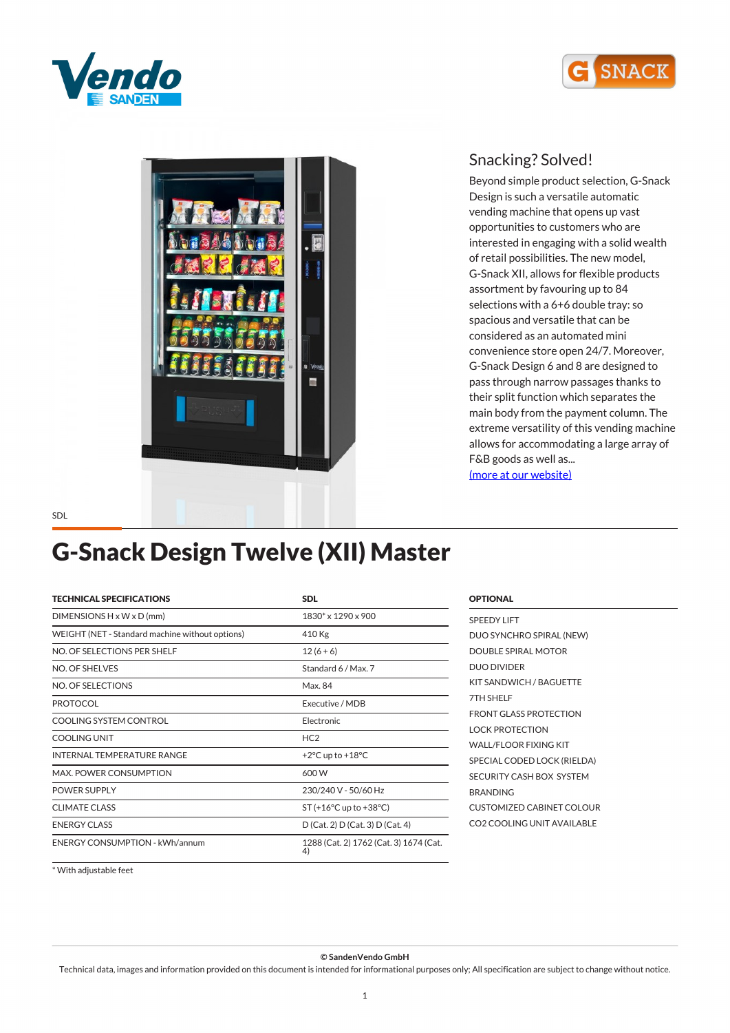





*Beyond simple product selection, G-Snack Design is such a versatile automatic vending machine that opens up vast opportunities to customers who are interested in engaging with a solid wealth of retail possibilities. The new model, G-Snack XII, allows for flexible products assortment by favouring up to 84 selections with a 6+6 double tray: so spacious and versatile that can be considered as an automated mini convenience store open 24/7. Moreover, G-Snack Design 6 and 8 are designed to pass through narrow passages thanks to their split function which separates the main body from the payment column. The extreme versatility of this vending machine allows for accommodating a large array of F&B goods as well as... [\(more at our website\)](https://www.sandenvendo.it/en/g-snack/g-snack-design-1014.html)*

### *G-Snack Design Twelve (XII) Master*

| <b>TECHNICAL SPECIFICATIONS</b>                 | <b>SDL</b>                                   |
|-------------------------------------------------|----------------------------------------------|
| $DIMENSIONS H \times W \times D$ (mm)           | 1830* x 1290 x 900                           |
| WEIGHT (NET - Standard machine without options) | 410 Kg                                       |
| NO. OF SELECTIONS PER SHELF                     | $12(6+6)$                                    |
| NO. OF SHELVES                                  | Standard 6 / Max. 7                          |
| NO. OF SELECTIONS                               | Max. 84                                      |
| <b>PROTOCOL</b>                                 | Executive / MDB                              |
| COOLING SYSTEM CONTROL                          | Electronic                                   |
| <b>COOLING UNIT</b>                             | HC <sub>2</sub>                              |
| INTERNAL TEMPERATURE RANGE                      | +2°C up to +18°C                             |
| <b>MAX. POWER CONSUMPTION</b>                   | 600 W                                        |
| <b>POWER SUPPLY</b>                             | 230/240 V - 50/60 Hz                         |
| <b>CLIMATE CLASS</b>                            | $ST (+16°C$ up to $+38°C$ )                  |
| <b>ENERGY CLASS</b>                             | D (Cat. 2) D (Cat. 3) D (Cat. 4)             |
| <b>ENERGY CONSUMPTION - kWh/annum</b>           | 1288 (Cat. 2) 1762 (Cat. 3) 1674 (Cat.<br>4) |

| <b>SPEEDY LIFT</b>               |
|----------------------------------|
| DUO SYNCHRO SPIRAL (NEW)         |
| DOUBLE SPIRAL MOTOR              |
| <b>DUO DIVIDER</b>               |
| KIT SANDWICH / BAGUETTE          |
| 7TH SHELF                        |
| <b>FRONT GLASS PROTECTION</b>    |
| <b>LOCK PROTECTION</b>           |
| WALL/FLOOR FIXING KIT            |
| SPECIAL CODED LOCK (RIELDA)      |
| SECURITY CASH BOX SYSTEM         |
| <b>BRANDING</b>                  |
| <b>CUSTOMIZED CABINET COLOUR</b> |
| CO2 COOLING UNIT AVAILABLE       |
|                                  |

*OPTIONAL*

*\* With adjustable feet*

*© SandenVendo GmbH*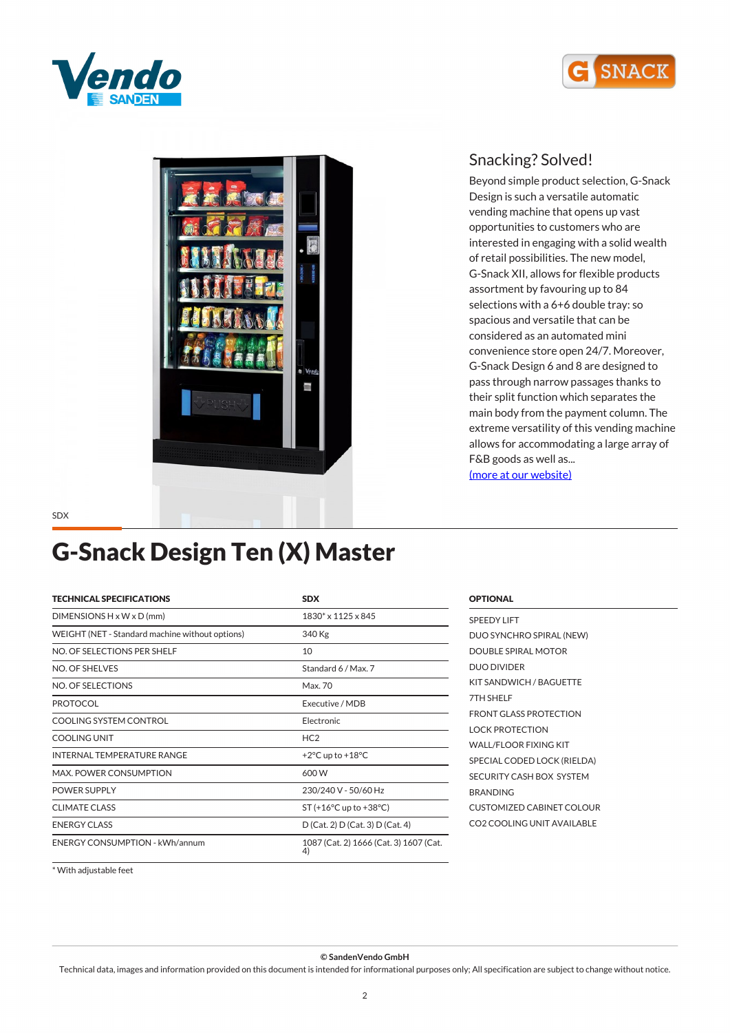





*Beyond simple product selection, G-Snack Design is such a versatile automatic vending machine that opens up vast opportunities to customers who are interested in engaging with a solid wealth of retail possibilities. The new model, G-Snack XII, allows for flexible products assortment by favouring up to 84 selections with a 6+6 double tray: so spacious and versatile that can be considered as an automated mini convenience store open 24/7. Moreover, G-Snack Design 6 and 8 are designed to pass through narrow passages thanks to their split function which separates the main body from the payment column. The extreme versatility of this vending machine allows for accommodating a large array of F&B goods as well as... [\(more at our website\)](https://www.sandenvendo.it/en/g-snack/g-snack-design-1014.html)*

*SDX*

# *G-Snack Design Ten (X) Master*

| <b>TECHNICAL SPECIFICATIONS</b>                 | <b>SDX</b>                                   |
|-------------------------------------------------|----------------------------------------------|
| $DIMENTSIONS H \times W \times D$ (mm)          | 1830* x 1125 x 845                           |
| WEIGHT (NET - Standard machine without options) | 340 Kg                                       |
| NO. OF SELECTIONS PER SHELF                     | 10                                           |
| NO. OF SHELVES                                  | Standard 6 / Max. 7                          |
| NO. OF SELECTIONS                               | Max. 70                                      |
| <b>PROTOCOL</b>                                 | Executive / MDB                              |
| COOLING SYSTEM CONTROL                          | Electronic                                   |
| <b>COOLING UNIT</b>                             | HC <sub>2</sub>                              |
| INTERNAL TEMPERATURE RANGE                      | +2 $\degree$ C up to +18 $\degree$ C         |
| MAX. POWER CONSUMPTION                          | 600 W                                        |
| <b>POWER SUPPLY</b>                             | 230/240 V - 50/60 Hz                         |
| <b>CLIMATE CLASS</b>                            | $ST (+16°C$ up to $+38°C$ )                  |
| <b>ENERGY CLASS</b>                             | D (Cat. 2) D (Cat. 3) D (Cat. 4)             |
| <b>ENERGY CONSUMPTION - kWh/annum</b>           | 1087 (Cat. 2) 1666 (Cat. 3) 1607 (Cat.<br>4) |

| <b>OPTIONAL</b>                  |
|----------------------------------|
| <b>SPEEDY LIFT</b>               |
| DUO SYNCHRO SPIRAL (NEW)         |
| <b>DOUBLE SPIRAL MOTOR</b>       |
| <b>DUO DIVIDER</b>               |
| KIT SANDWICH / BAGUETTE          |
| 7TH SHELF                        |
| <b>FRONT GLASS PROTECTION</b>    |
| <b>LOCK PROTECTION</b>           |
| WALL/FLOOR FIXING KIT            |
| SPECIAL CODED LOCK (RIELDA)      |
| SECURITY CASH BOX SYSTEM         |
| <b>BRANDING</b>                  |
| <b>CUSTOMIZED CABINET COLOUR</b> |
| CO2 COOLING UNIT AVAILABLE       |
|                                  |

*\* With adjustable feet*

*© SandenVendo GmbH*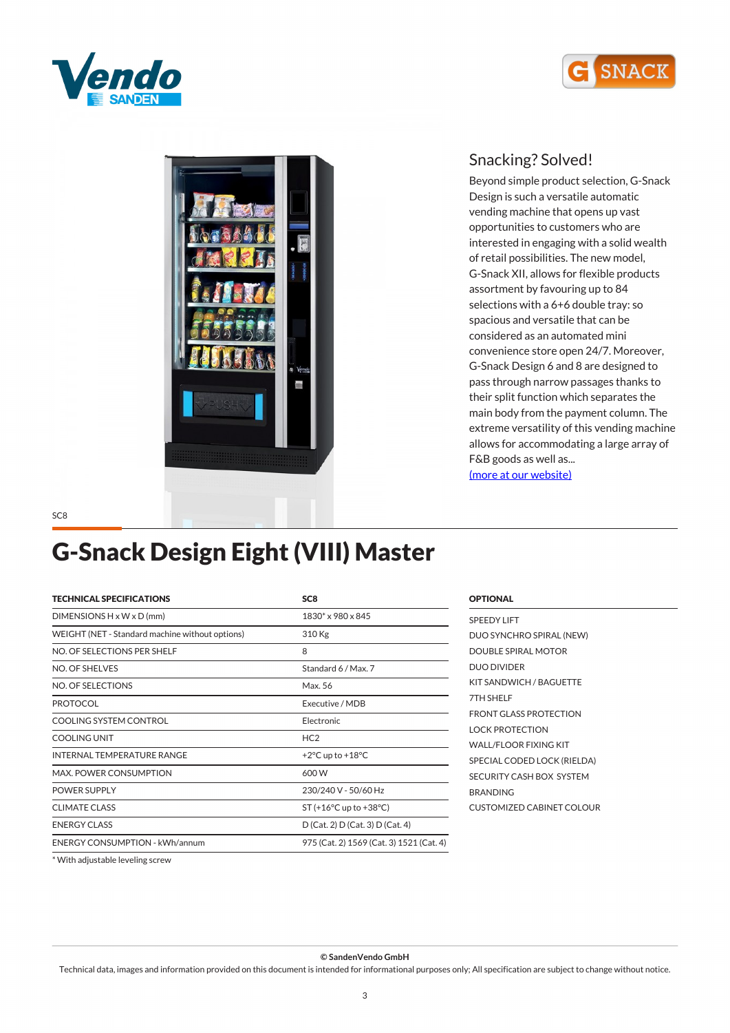





*Beyond simple product selection, G-Snack Design is such a versatile automatic vending machine that opens up vast opportunities to customers who are interested in engaging with a solid wealth of retail possibilities. The new model, G-Snack XII, allows for flexible products assortment by favouring up to 84 selections with a 6+6 double tray: so spacious and versatile that can be considered as an automated mini convenience store open 24/7. Moreover, G-Snack Design 6 and 8 are designed to pass through narrow passages thanks to their split function which separates the main body from the payment column. The extreme versatility of this vending machine allows for accommodating a large array of F&B goods as well as... [\(more at our website\)](https://www.sandenvendo.it/en/g-snack/g-snack-design-1014.html)*

*SC8*

# *G-Snack Design Eight (VIII) Master*

| <b>TECHNICAL SPECIFICATIONS</b>                 | SC <sub>8</sub>                            |
|-------------------------------------------------|--------------------------------------------|
| $DIMENSIONS H \times W \times D$ (mm)           | 1830* x 980 x 845                          |
| WEIGHT (NET - Standard machine without options) | 310 Kg                                     |
| NO. OF SELECTIONS PER SHELF                     | 8                                          |
| NO. OF SHELVES                                  | Standard 6 / Max. 7                        |
| NO. OF SELECTIONS                               | Max. 56                                    |
| <b>PROTOCOL</b>                                 | Executive / MDB                            |
| COOLING SYSTEM CONTROL                          | Electronic                                 |
| <b>COOLING UNIT</b>                             | HC <sub>2</sub>                            |
| INTERNAL TEMPERATURE RANGE                      | +2 $\degree$ C up to +18 $\degree$ C       |
| <b>MAX. POWER CONSUMPTION</b>                   | 600 W                                      |
| POWER SUPPLY                                    | 230/240 V - 50/60 Hz                       |
| <b>CLIMATE CLASS</b>                            | ST $(+16^{\circ}$ C up to $+38^{\circ}$ C) |
| <b>ENFRGY CLASS</b>                             | D (Cat. 2) D (Cat. 3) D (Cat. 4)           |
| <b>ENERGY CONSUMPTION - kWh/annum</b>           | 975 (Cat. 2) 1569 (Cat. 3) 1521 (Cat. 4)   |

#### *SPEEDY LIFT DUO SYNCHRO SPIRAL (NEW) DOUBLE SPIRAL MOTOR DUO DIVIDER KIT SANDWICH / BAGUETTE 7TH SHELF FRONT GLASS PROTECTION LOCK PROTECTION WALL/FLOOR FIXING KIT SPECIAL CODED LOCK (RIELDA) SECURITY CASH BOX SYSTEM BRANDING CUSTOMIZED CABINET COLOUR*

*OPTIONAL*

*\* With adjustable leveling screw*

*© SandenVendo GmbH*